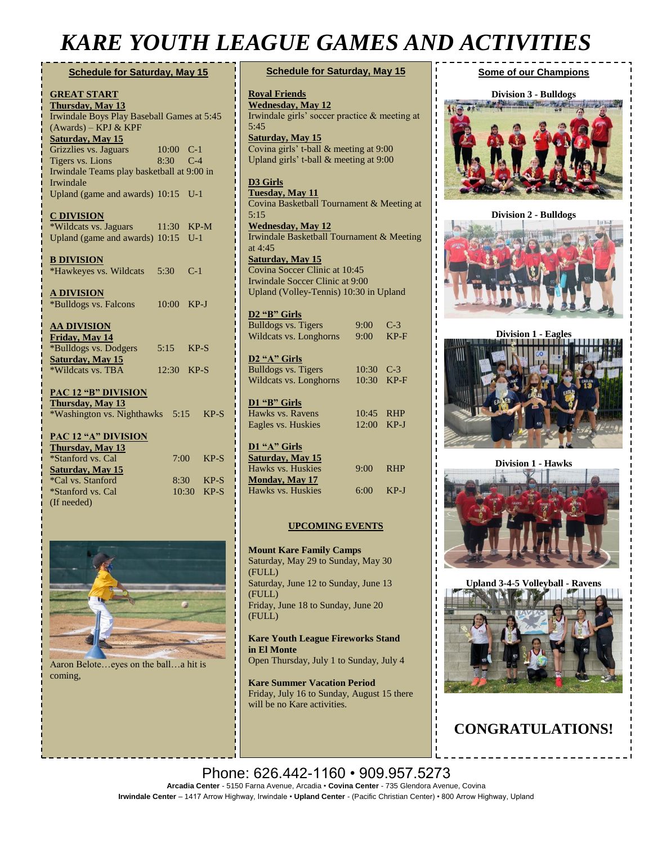## *KARE YOUTH LEAGUE GAMES AND ACTIVITIES*

### **Schedule for Saturday, May 15**

| <b>GREAT START</b>                         |       |            |           |        |  |  |
|--------------------------------------------|-------|------------|-----------|--------|--|--|
| <b>Thursday, May 13</b>                    |       |            |           |        |  |  |
| Irwindale Boys Play Baseball Games at 5:45 |       |            |           |        |  |  |
| (Awards) - KPJ & KPF                       |       |            |           |        |  |  |
| <b>Saturday, May 15</b>                    |       |            |           |        |  |  |
| Grizzlies vs. Jaguars                      |       |            | 10:00 C-1 |        |  |  |
| <b>Tigers vs. Lions</b>                    | 8:30  |            | $C-4$     |        |  |  |
| Irwindale Teams play basketball at 9:00 in |       |            |           |        |  |  |
| Irwindale                                  |       |            |           |        |  |  |
| Upland (game and awards) 10:15 U-1         |       |            |           |        |  |  |
|                                            |       |            |           |        |  |  |
| <u>C DIVISION</u>                          |       |            |           |        |  |  |
| *Wildcats vs. Jaguars                      | 11:30 |            | $KP-M$    |        |  |  |
| Upland (game and awards) 10:15             |       |            | $U-1$     |        |  |  |
| <b>B DIVISION</b>                          |       |            |           |        |  |  |
| *Hawkeyes vs. Wildcats                     | 5:30  |            | $C-1$     |        |  |  |
|                                            |       |            |           |        |  |  |
| <b>A DIVISION</b>                          |       |            |           |        |  |  |
| *Bulldogs vs. Falcons                      | 10:00 |            | $KP-J$    |        |  |  |
|                                            |       |            |           |        |  |  |
| <b>AA DIVISION</b>                         |       |            |           |        |  |  |
| Friday, May 14                             |       |            |           |        |  |  |
| *Bulldogs vs. Dodgers                      | 5:15  |            | $KP-S$    |        |  |  |
| Saturday, May 15                           |       |            |           |        |  |  |
| *Wildcats vs. TBA                          | 12:30 |            | $KP-S$    |        |  |  |
|                                            |       |            |           |        |  |  |
| <b>PAC 12 "B" DIVISION</b>                 |       |            |           |        |  |  |
| Thursday, May 13                           |       |            |           |        |  |  |
| *Washington vs. Nighthawks                 |       |            | 5:15      | $KP-S$ |  |  |
| <b>PAC 12 "A" DIVISION</b>                 |       |            |           |        |  |  |
| Thursday, May 13                           |       |            |           |        |  |  |
| *Stanford vs. Cal                          |       | $7:00^{-}$ |           | $KP-S$ |  |  |
| Saturday, May 15                           |       |            |           |        |  |  |
| *Cal vs. Stanford                          |       | 8:30       |           | $KP-S$ |  |  |
| *Stanford vs. Cal                          |       | 10:30      |           | $KP-S$ |  |  |
| (If needed)                                |       |            |           |        |  |  |



Aaron Belote…eyes on the ball…a hit is coming,

| <b>Schedule for Saturday, May 15</b>                                                                                                                                                                                      |             |            |  |  |  |
|---------------------------------------------------------------------------------------------------------------------------------------------------------------------------------------------------------------------------|-------------|------------|--|--|--|
| <b>Royal Friends</b><br><b>Wednesday</b> , May 12<br>Irwindale girls' soccer practice & meeting at<br>5:45<br><b>Saturday, May 15</b><br>Covina girls' t-ball & meeting at 9:00<br>Upland girls' t-ball & meeting at 9:00 |             |            |  |  |  |
| <b>D3 Girls</b><br><b>Tuesday, May 11</b><br>Covina Basketball Tournament & Meeting at<br>5:15                                                                                                                            |             |            |  |  |  |
| <b>Wednesday, May 12</b><br>Irwindale Basketball Tournament & Meeting                                                                                                                                                     |             |            |  |  |  |
| at $4:45$                                                                                                                                                                                                                 |             |            |  |  |  |
| <b>Saturday, May 15</b>                                                                                                                                                                                                   |             |            |  |  |  |
| Covina Soccer Clinic at 10:45                                                                                                                                                                                             |             |            |  |  |  |
| Irwindale Soccer Clinic at 9:00                                                                                                                                                                                           |             |            |  |  |  |
| Upland (Volley-Tennis) 10:30 in Upland                                                                                                                                                                                    |             |            |  |  |  |
| D <sub>2</sub> "B" Girls                                                                                                                                                                                                  |             |            |  |  |  |
| <b>Bulldogs vs. Tigers</b>                                                                                                                                                                                                | $9:00^{-}$  | $C-3$      |  |  |  |
| Wildcats vs. Longhorns                                                                                                                                                                                                    | $9:00^{-}$  | $KP-F$     |  |  |  |
| D2 "A" Girls                                                                                                                                                                                                              |             |            |  |  |  |
| Bulldogs vs. Tigers                                                                                                                                                                                                       | 10:30       | $C-3$      |  |  |  |
| Wildcats vs. Longhorns                                                                                                                                                                                                    | 10:30       | $KP-F$     |  |  |  |
| D1 "B" Girls                                                                                                                                                                                                              |             |            |  |  |  |
| Hawks vs. Ravens                                                                                                                                                                                                          | 10:45       | <b>RHP</b> |  |  |  |
| Eagles vs. Huskies                                                                                                                                                                                                        | 12:00       | $KP-J$     |  |  |  |
| D1 "A" Girls                                                                                                                                                                                                              |             |            |  |  |  |
| <b>Saturday</b> , May 15                                                                                                                                                                                                  |             |            |  |  |  |
| Hawks vs. Huskies                                                                                                                                                                                                         | 9:00        | <b>RHP</b> |  |  |  |
| <b>Monday</b> , May 17                                                                                                                                                                                                    |             |            |  |  |  |
| Hawks vs. Huskies                                                                                                                                                                                                         | $6:00$ KP-J |            |  |  |  |
|                                                                                                                                                                                                                           |             |            |  |  |  |

### **UPCOMING EVENTS**

**Mount Kare Family Camps** Saturday, May 29 to Sunday, May 30 (FULL) Saturday, June 12 to Sunday, June 13 (FULL) Friday, June 18 to Sunday, June 20 (FULL)

#### **Kare Youth League Fireworks Stand in El Monte**

Open Thursday, July 1 to Sunday, July 4

**Kare Summer Vacation Period** Friday, July 16 to Sunday, August 15 there will be no Kare activities.

### **Some of our Champions**



**Division 2 - Bulldogs**



**Division 1 - Eagles**





Ţ

**Upland 3-4-5 Volleyball - Ravens**

## **CONGRATULATIONS!**

Phone: 626.442-1160 • 909.957.5273 **Arcadia Center** - 5150 Farna Avenue, Arcadia • **Covina Center** - 735 Glendora Avenue, Covina **Irwindale Center** – 1417 Arrow Highway, Irwindale • **Upland Center** - (Pacific Christian Center) • 800 Arrow Highway, Upland